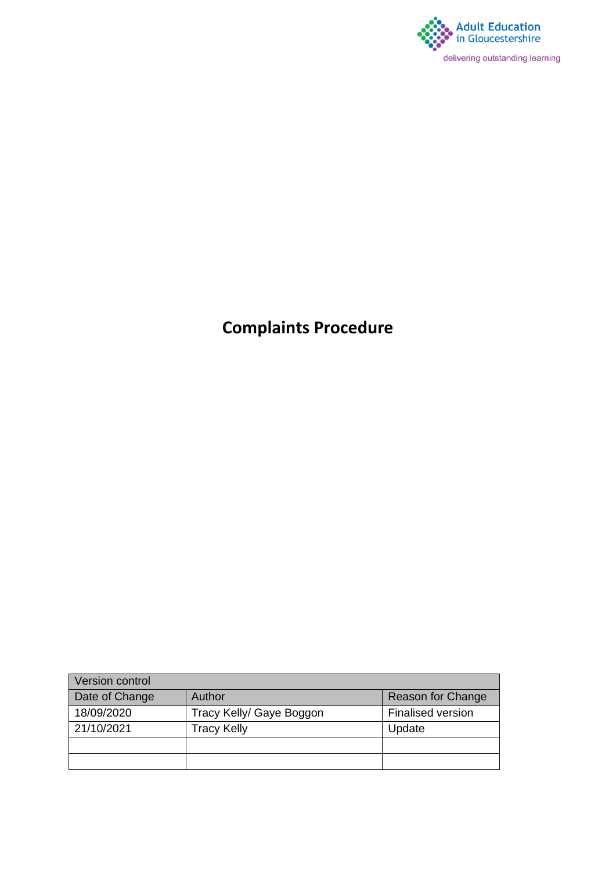

# **Complaints Procedure**

| <b>Version control</b> |                          |                          |
|------------------------|--------------------------|--------------------------|
| Date of Change         | Author                   | <b>Reason for Change</b> |
| 18/09/2020             | Tracy Kelly/ Gaye Boggon | <b>Finalised version</b> |
| 21/10/2021             | <b>Tracy Kelly</b>       | Update                   |
|                        |                          |                          |
|                        |                          |                          |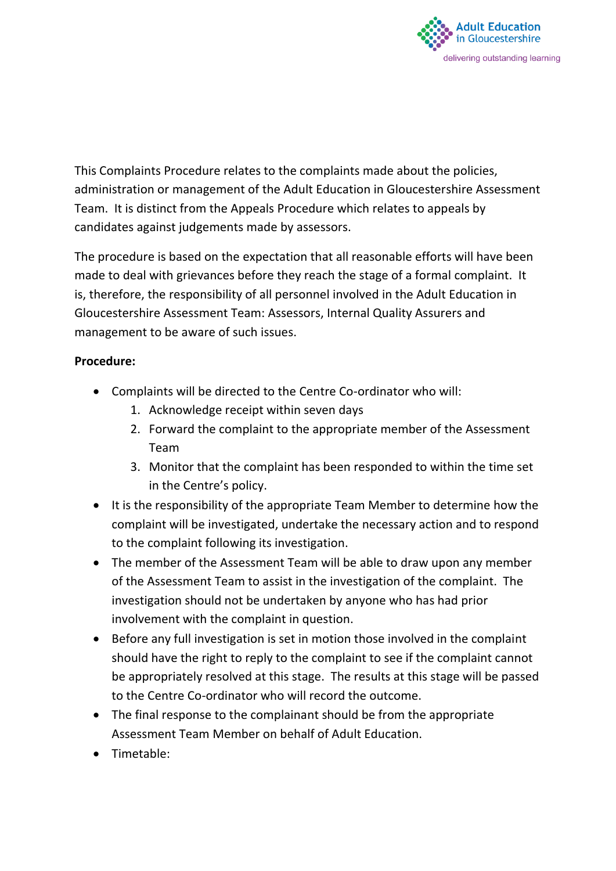

This Complaints Procedure relates to the complaints made about the policies, administration or management of the Adult Education in Gloucestershire Assessment Team. It is distinct from the Appeals Procedure which relates to appeals by candidates against judgements made by assessors.

The procedure is based on the expectation that all reasonable efforts will have been made to deal with grievances before they reach the stage of a formal complaint. It is, therefore, the responsibility of all personnel involved in the Adult Education in Gloucestershire Assessment Team: Assessors, Internal Quality Assurers and management to be aware of such issues.

#### **Procedure:**

- Complaints will be directed to the Centre Co-ordinator who will:
	- 1. Acknowledge receipt within seven days
	- 2. Forward the complaint to the appropriate member of the Assessment Team
	- 3. Monitor that the complaint has been responded to within the time set in the Centre's policy.
- It is the responsibility of the appropriate Team Member to determine how the complaint will be investigated, undertake the necessary action and to respond to the complaint following its investigation.
- The member of the Assessment Team will be able to draw upon any member of the Assessment Team to assist in the investigation of the complaint. The investigation should not be undertaken by anyone who has had prior involvement with the complaint in question.
- Before any full investigation is set in motion those involved in the complaint should have the right to reply to the complaint to see if the complaint cannot be appropriately resolved at this stage. The results at this stage will be passed to the Centre Co-ordinator who will record the outcome.
- The final response to the complainant should be from the appropriate Assessment Team Member on behalf of Adult Education.
- Timetable: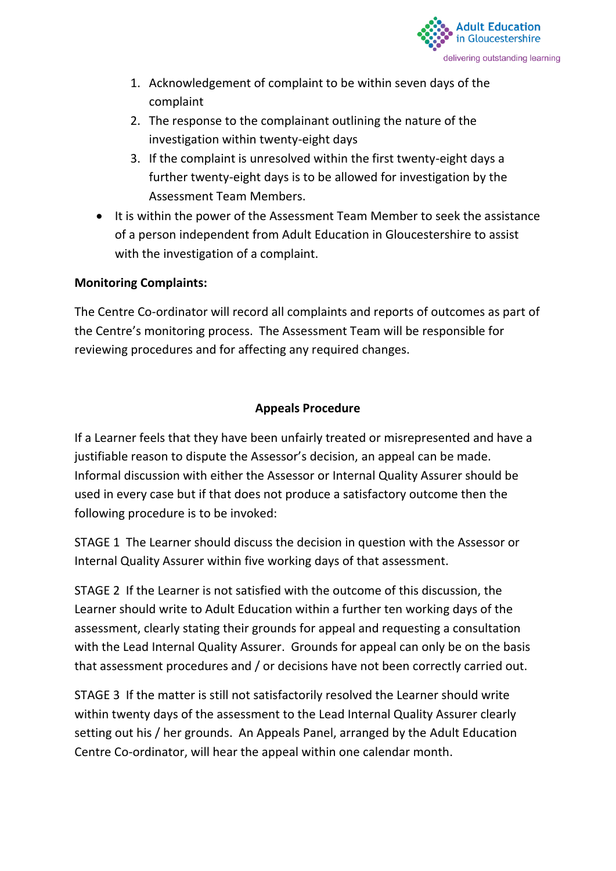

- 1. Acknowledgement of complaint to be within seven days of the complaint
- 2. The response to the complainant outlining the nature of the investigation within twenty-eight days
- 3. If the complaint is unresolved within the first twenty-eight days a further twenty-eight days is to be allowed for investigation by the Assessment Team Members.
- It is within the power of the Assessment Team Member to seek the assistance of a person independent from Adult Education in Gloucestershire to assist with the investigation of a complaint.

#### **Monitoring Complaints:**

The Centre Co-ordinator will record all complaints and reports of outcomes as part of the Centre's monitoring process. The Assessment Team will be responsible for reviewing procedures and for affecting any required changes.

#### **Appeals Procedure**

If a Learner feels that they have been unfairly treated or misrepresented and have a justifiable reason to dispute the Assessor's decision, an appeal can be made. Informal discussion with either the Assessor or Internal Quality Assurer should be used in every case but if that does not produce a satisfactory outcome then the following procedure is to be invoked:

STAGE 1 The Learner should discuss the decision in question with the Assessor or Internal Quality Assurer within five working days of that assessment.

STAGE 2 If the Learner is not satisfied with the outcome of this discussion, the Learner should write to Adult Education within a further ten working days of the assessment, clearly stating their grounds for appeal and requesting a consultation with the Lead Internal Quality Assurer. Grounds for appeal can only be on the basis that assessment procedures and / or decisions have not been correctly carried out.

STAGE 3 If the matter is still not satisfactorily resolved the Learner should write within twenty days of the assessment to the Lead Internal Quality Assurer clearly setting out his / her grounds. An Appeals Panel, arranged by the Adult Education Centre Co-ordinator, will hear the appeal within one calendar month.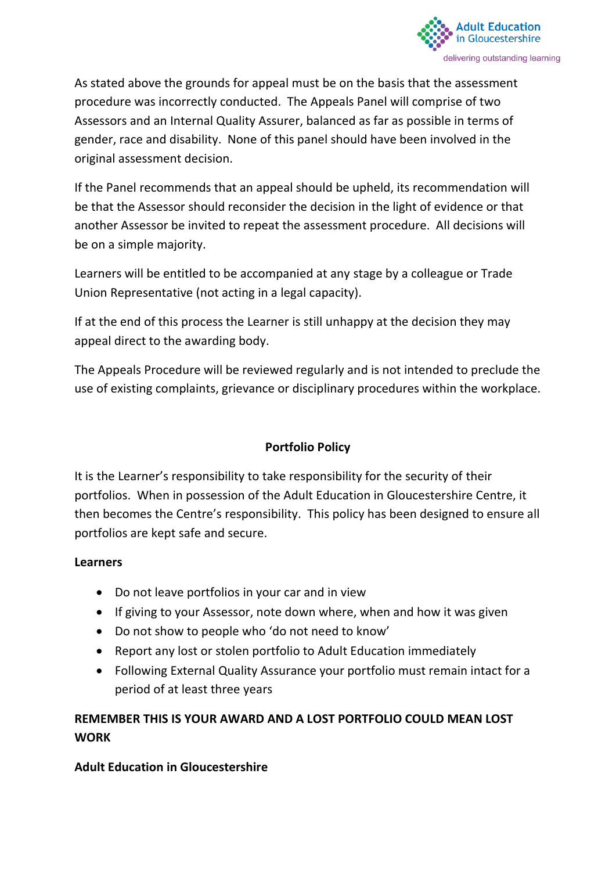

As stated above the grounds for appeal must be on the basis that the assessment procedure was incorrectly conducted. The Appeals Panel will comprise of two Assessors and an Internal Quality Assurer, balanced as far as possible in terms of gender, race and disability. None of this panel should have been involved in the original assessment decision.

If the Panel recommends that an appeal should be upheld, its recommendation will be that the Assessor should reconsider the decision in the light of evidence or that another Assessor be invited to repeat the assessment procedure. All decisions will be on a simple majority.

Learners will be entitled to be accompanied at any stage by a colleague or Trade Union Representative (not acting in a legal capacity).

If at the end of this process the Learner is still unhappy at the decision they may appeal direct to the awarding body.

The Appeals Procedure will be reviewed regularly and is not intended to preclude the use of existing complaints, grievance or disciplinary procedures within the workplace.

### **Portfolio Policy**

It is the Learner's responsibility to take responsibility for the security of their portfolios. When in possession of the Adult Education in Gloucestershire Centre, it then becomes the Centre's responsibility. This policy has been designed to ensure all portfolios are kept safe and secure.

#### **Learners**

- Do not leave portfolios in your car and in view
- If giving to your Assessor, note down where, when and how it was given
- Do not show to people who 'do not need to know'
- Report any lost or stolen portfolio to Adult Education immediately
- Following External Quality Assurance your portfolio must remain intact for a period of at least three years

### **REMEMBER THIS IS YOUR AWARD AND A LOST PORTFOLIO COULD MEAN LOST WORK**

#### **Adult Education in Gloucestershire**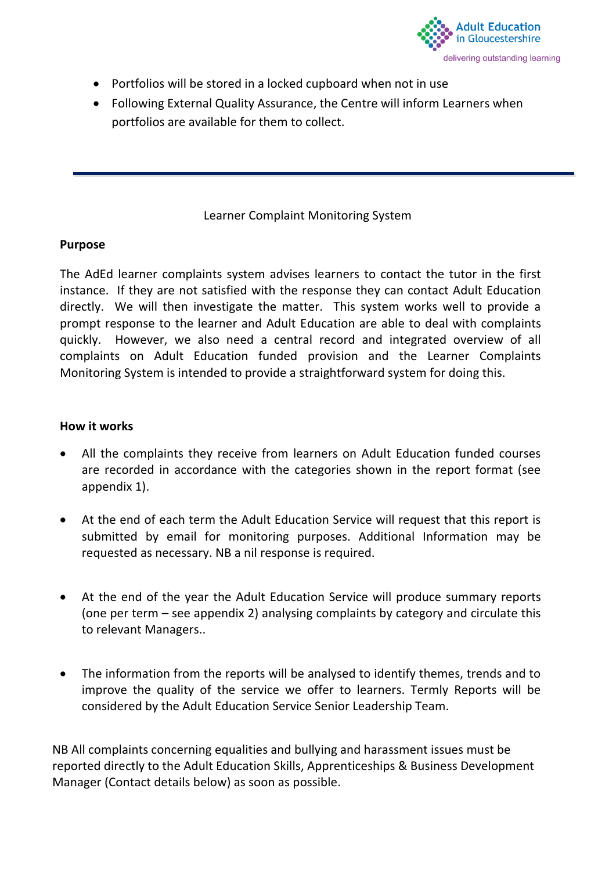

- Portfolios will be stored in a locked cupboard when not in use
- Following External Quality Assurance, the Centre will inform Learners when portfolios are available for them to collect.

#### Learner Complaint Monitoring System

#### **Purpose**

The AdEd learner complaints system advises learners to contact the tutor in the first instance. If they are not satisfied with the response they can contact Adult Education directly. We will then investigate the matter. This system works well to provide a prompt response to the learner and Adult Education are able to deal with complaints quickly. However, we also need a central record and integrated overview of all complaints on Adult Education funded provision and the Learner Complaints Monitoring System is intended to provide a straightforward system for doing this.

#### **How it works**

- All the complaints they receive from learners on Adult Education funded courses are recorded in accordance with the categories shown in the report format (see appendix 1).
- At the end of each term the Adult Education Service will request that this report is submitted by email for monitoring purposes. Additional Information may be requested as necessary. NB a nil response is required.
- At the end of the year the Adult Education Service will produce summary reports (one per term – see appendix 2) analysing complaints by category and circulate this to relevant Managers..
- The information from the reports will be analysed to identify themes, trends and to improve the quality of the service we offer to learners. Termly Reports will be considered by the Adult Education Service Senior Leadership Team.

NB All complaints concerning equalities and bullying and harassment issues must be reported directly to the Adult Education Skills, Apprenticeships & Business Development Manager (Contact details below) as soon as possible.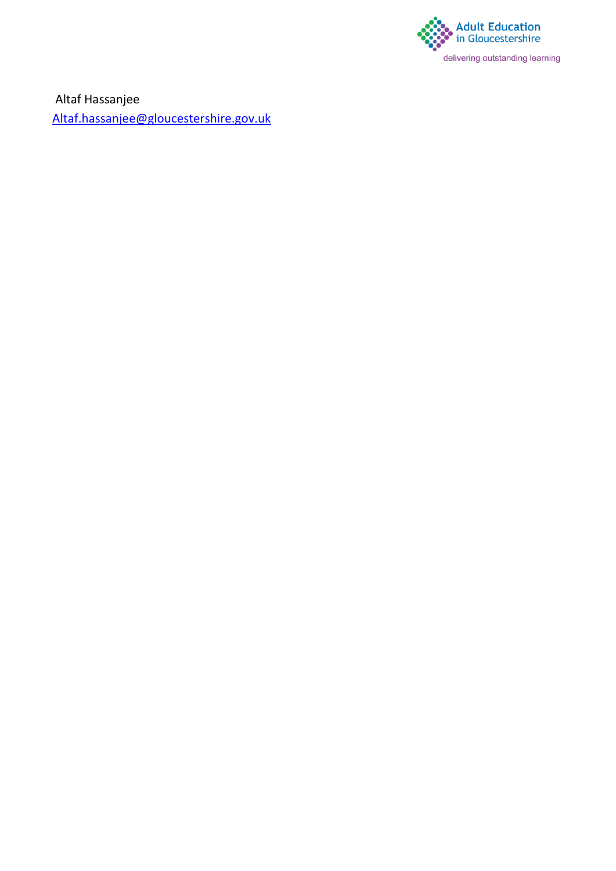

Altaf Hassanjee [Altaf.hassanjee@gloucestershire.gov.uk](mailto:Altaf.hassanjee@gloucestershire.gov.uk)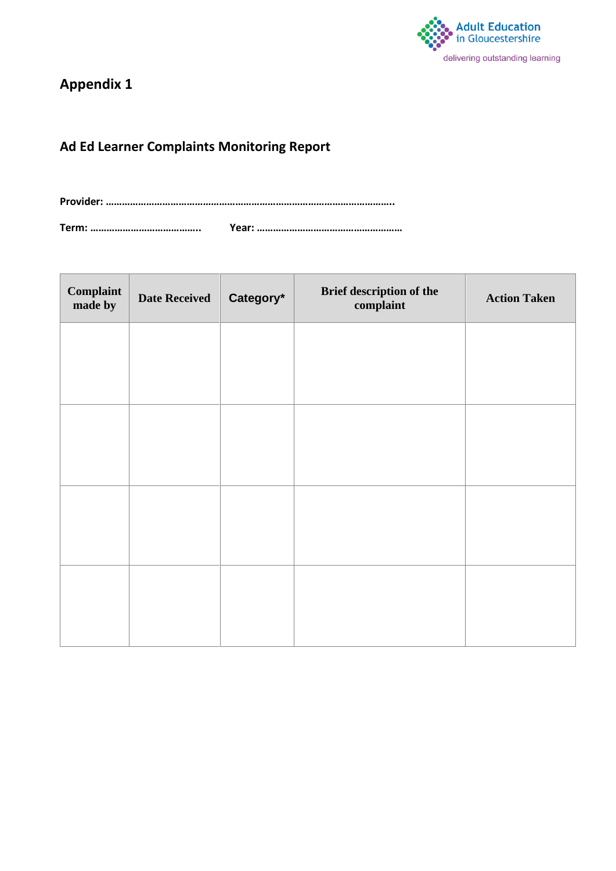

### **Appendix 1**

### **Ad Ed Learner Complaints Monitoring Report**

**Provider: ……………………………………………………………………………………………..**

**Term: ………………………………….. Year: ………………………………………………**

| <b>Complaint</b><br>made by | <b>Date Received</b> | Category* | Brief description of the<br>complaint | <b>Action Taken</b> |
|-----------------------------|----------------------|-----------|---------------------------------------|---------------------|
|                             |                      |           |                                       |                     |
|                             |                      |           |                                       |                     |
|                             |                      |           |                                       |                     |
|                             |                      |           |                                       |                     |
|                             |                      |           |                                       |                     |
|                             |                      |           |                                       |                     |
|                             |                      |           |                                       |                     |
|                             |                      |           |                                       |                     |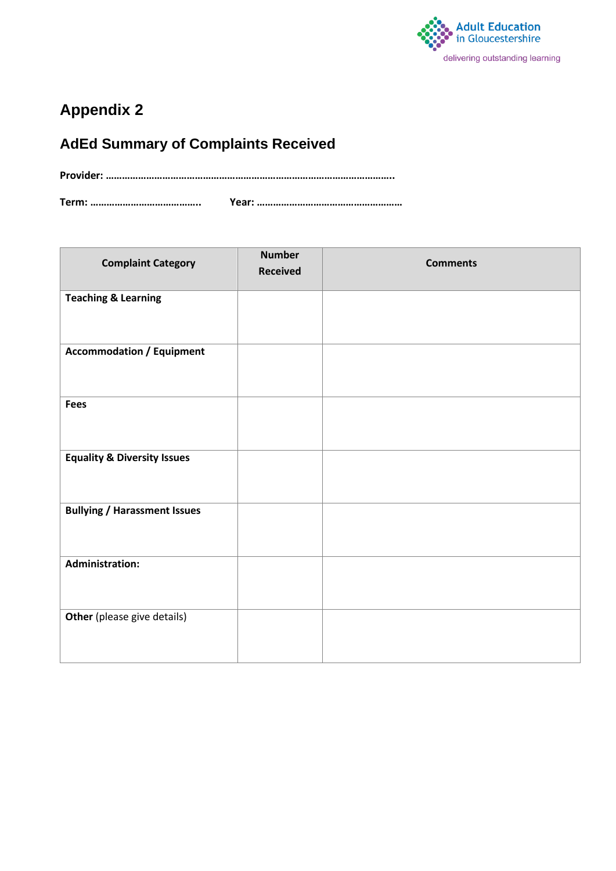

# **Appendix 2**

# **AdEd Summary of Complaints Received**

**Provider: ……………………………………………………………………………………………..**

**Term: ………………………………….. Year: ………………………………………………**

| <b>Complaint Category</b>              | <b>Number</b><br><b>Received</b> | <b>Comments</b> |
|----------------------------------------|----------------------------------|-----------------|
| <b>Teaching &amp; Learning</b>         |                                  |                 |
| <b>Accommodation / Equipment</b>       |                                  |                 |
| <b>Fees</b>                            |                                  |                 |
| <b>Equality &amp; Diversity Issues</b> |                                  |                 |
| <b>Bullying / Harassment Issues</b>    |                                  |                 |
| <b>Administration:</b>                 |                                  |                 |
| Other (please give details)            |                                  |                 |